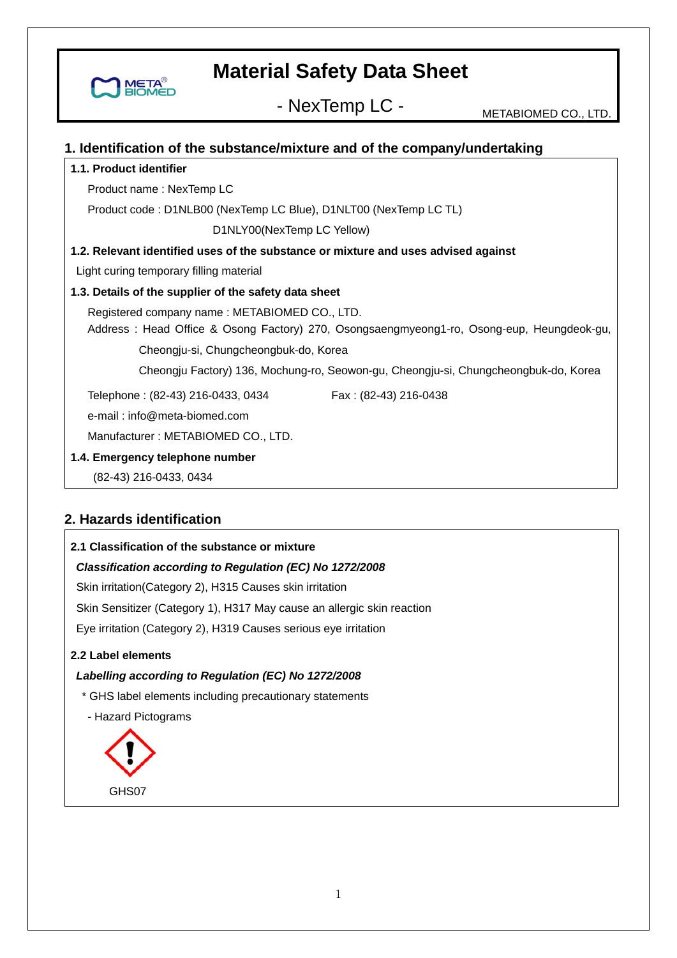

- NexTemp LC - METABIOMED CO., LTD.

#### **1. Identification of the substance/mixture and of the company/undertaking**

#### **1.1. Product identifier**

Product name : NexTemp LC

Product code : D1NLB00 (NexTemp LC Blue), D1NLT00 (NexTemp LC TL)

D1NLY00(NexTemp LC Yellow)

**1.2. Relevant identified uses of the substance or mixture and uses advised against** 

Light curing temporary filling material

#### **1.3. Details of the supplier of the safety data sheet**

Registered company name : METABIOMED CO., LTD.

Address : Head Office & Osong Factory) 270, Osongsaengmyeong1-ro, Osong-eup, Heungdeok-gu,

Cheongju-si, Chungcheongbuk-do, Korea

Cheongju Factory) 136, Mochung-ro, Seowon-gu, Cheongju-si, Chungcheongbuk-do, Korea

Telephone: (82-43) 216-0433, 0434 Fax: (82-43) 216-0438

e-mail : info@meta-biomed.com

Manufacturer : METABIOMED CO., LTD.

#### **1.4. Emergency telephone number**

(82-43) 216-0433, 0434

### **2. Hazards identification**

#### **2.1 Classification of the substance or mixture**

#### *Classification according to Regulation (EC) No 1272/2008*

Skin irritation(Category 2), H315 Causes skin irritation

Skin Sensitizer (Category 1), H317 May cause an allergic skin reaction

Eye irritation (Category 2), H319 Causes serious eye irritation

#### **2.2 Label elements**

*Labelling according to Regulation (EC) No 1272/2008* 

\* GHS label elements including precautionary statements

- Hazard Pictograms

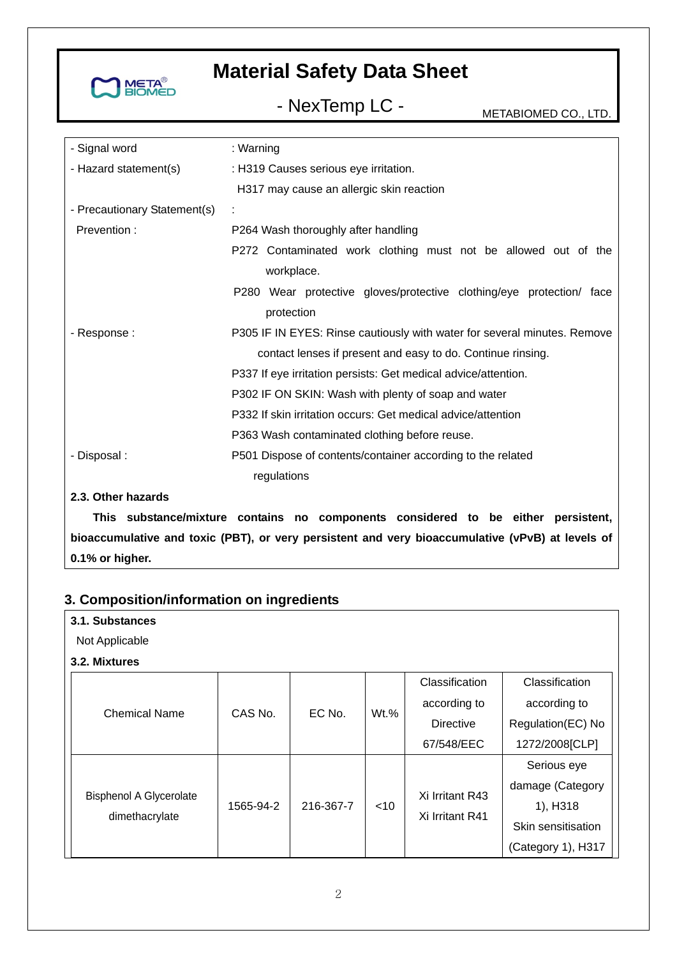

# - NexTemp LC - METABIOMED CO., LTD.

| - Signal word                | : Warning                                                                |  |  |
|------------------------------|--------------------------------------------------------------------------|--|--|
| - Hazard statement(s)        | : H319 Causes serious eye irritation.                                    |  |  |
|                              | H317 may cause an allergic skin reaction                                 |  |  |
| - Precautionary Statement(s) |                                                                          |  |  |
| Prevention:                  | P264 Wash thoroughly after handling                                      |  |  |
|                              | P272 Contaminated work clothing must not be allowed out of the           |  |  |
|                              | workplace.                                                               |  |  |
|                              | P280 Wear protective gloves/protective clothing/eye protection/ face     |  |  |
|                              | protection                                                               |  |  |
| - Response :                 | P305 IF IN EYES: Rinse cautiously with water for several minutes. Remove |  |  |
|                              | contact lenses if present and easy to do. Continue rinsing.              |  |  |
|                              | P337 If eye irritation persists: Get medical advice/attention.           |  |  |
|                              | P302 IF ON SKIN: Wash with plenty of soap and water                      |  |  |
|                              | P332 If skin irritation occurs: Get medical advice/attention             |  |  |
|                              | P363 Wash contaminated clothing before reuse.                            |  |  |
| - Disposal :                 | P501 Dispose of contents/container according to the related              |  |  |
|                              | regulations                                                              |  |  |
| 2.3. Other hazards           |                                                                          |  |  |
|                              |                                                                          |  |  |

**This substance/mixture contains no components considered to be either persistent, bioaccumulative and toxic (PBT), or very persistent and very bioaccumulative (vPvB) at levels of 0.1% or higher.** 

### **3. Composition/information on ingredients**

| 3.1. Substances                                  |           |           |        |                  |                    |
|--------------------------------------------------|-----------|-----------|--------|------------------|--------------------|
| Not Applicable                                   |           |           |        |                  |                    |
| 3.2. Mixtures                                    |           |           |        |                  |                    |
|                                                  |           |           |        | Classification   | Classification     |
| <b>Chemical Name</b>                             | CAS No.   | EC No.    | Wt.%   | according to     | according to       |
|                                                  |           |           |        | <b>Directive</b> | Regulation(EC) No  |
|                                                  |           |           |        | 67/548/EEC       | 1272/2008 [CLP]    |
|                                                  |           |           |        |                  | Serious eye        |
| <b>Bisphenol A Glycerolate</b><br>dimethacrylate | 1565-94-2 | 216-367-7 | $<$ 10 | Xi Irritant R43  | damage (Category   |
|                                                  |           |           |        | Xi Irritant R41  | 1), H318           |
|                                                  |           |           |        |                  | Skin sensitisation |
|                                                  |           |           |        |                  | (Category 1), H317 |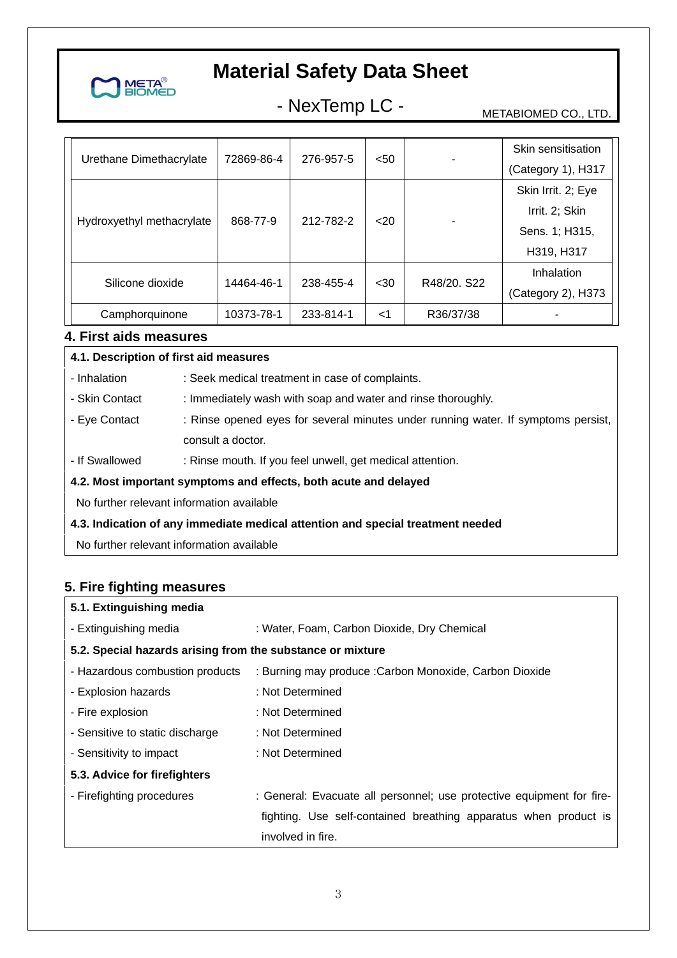

# - NexTemp LC - METABIOMED CO., LTD.

| Urethane Dimethacrylate   | 72869-86-4<br>276-957-5 | < 50      |       | Skin sensitisation |                    |
|---------------------------|-------------------------|-----------|-------|--------------------|--------------------|
|                           |                         |           |       |                    | (Category 1), H317 |
| Hydroxyethyl methacrylate | 868-77-9                | 212-782-2 | $20$  |                    | Skin Irrit. 2; Eye |
|                           |                         |           |       |                    | Irrit. 2; Skin     |
|                           |                         |           |       |                    | Sens. 1; H315,     |
|                           |                         |           |       |                    | H319, H317         |
| Silicone dioxide          | 14464-46-1              | 238-455-4 | $30$  | R48/20, S22        | Inhalation         |
|                           |                         |           |       |                    | (Category 2), H373 |
| Camphorquinone            | 10373-78-1              | 233-814-1 | $<$ 1 | R36/37/38          |                    |

### **4. First aids measures**

#### **4.1. Description of first aid measures**

- Inhalation : Seek medical treatment in case of complaints.

- Skin Contact : Immediately wash with soap and water and rinse thoroughly.
- Eye Contact : Rinse opened eyes for several minutes under running water. If symptoms persist, consult a doctor.
- If Swallowed : Rinse mouth. If you feel unwell, get medical attention.

#### **4.2. Most important symptoms and effects, both acute and delayed**

No further relevant information available

#### **4.3. Indication of any immediate medical attention and special treatment needed**

No further relevant information available

### **5. Fire fighting measures**

| 5.1. Extinguishing media                                   |                                                                       |  |  |  |
|------------------------------------------------------------|-----------------------------------------------------------------------|--|--|--|
| - Extinguishing media                                      | : Water, Foam, Carbon Dioxide, Dry Chemical                           |  |  |  |
| 5.2. Special hazards arising from the substance or mixture |                                                                       |  |  |  |
| - Hazardous combustion products                            | : Burning may produce : Carbon Monoxide, Carbon Dioxide               |  |  |  |
| - Explosion hazards                                        | : Not Determined                                                      |  |  |  |
| - Fire explosion                                           | : Not Determined                                                      |  |  |  |
| - Sensitive to static discharge                            | : Not Determined                                                      |  |  |  |
| - Sensitivity to impact                                    | : Not Determined                                                      |  |  |  |
| 5.3. Advice for firefighters                               |                                                                       |  |  |  |
| - Firefighting procedures                                  | : General: Evacuate all personnel; use protective equipment for fire- |  |  |  |
|                                                            | fighting. Use self-contained breathing apparatus when product is      |  |  |  |
|                                                            | involved in fire.                                                     |  |  |  |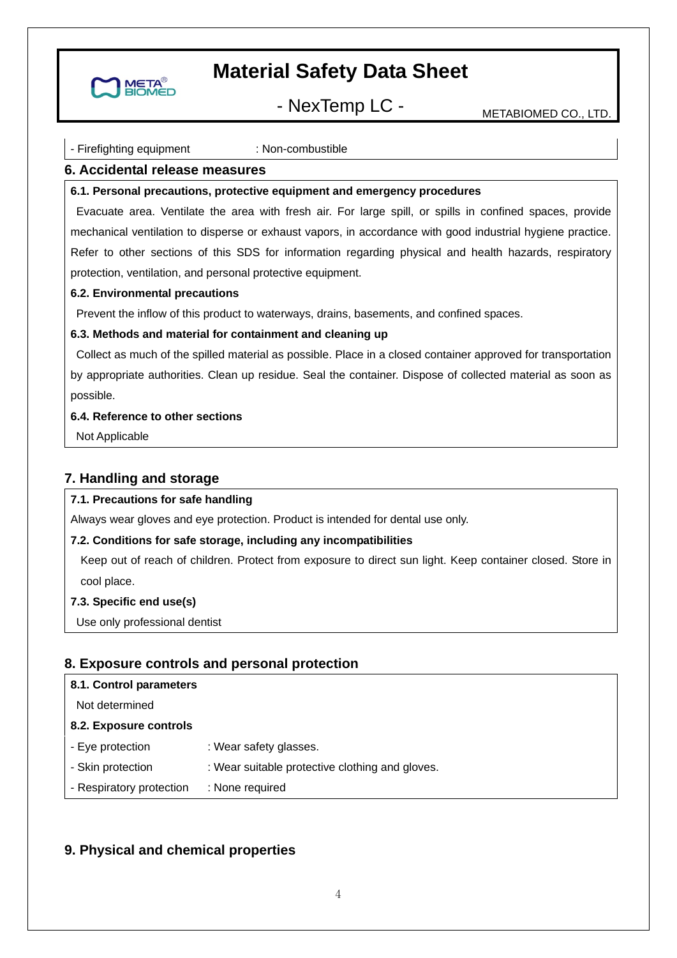

## - NexTemp LC - METABIOMED CO., LTD.

#### - Firefighting equipment : Non-combustible

#### **6. Accidental release measures**

#### **6.1. Personal precautions, protective equipment and emergency procedures**

 Evacuate area. Ventilate the area with fresh air. For large spill, or spills in confined spaces, provide mechanical ventilation to disperse or exhaust vapors, in accordance with good industrial hygiene practice. Refer to other sections of this SDS for information regarding physical and health hazards, respiratory protection, ventilation, and personal protective equipment.

#### **6.2. Environmental precautions**

Prevent the inflow of this product to waterways, drains, basements, and confined spaces.

#### **6.3. Methods and material for containment and cleaning up**

 Collect as much of the spilled material as possible. Place in a closed container approved for transportation by appropriate authorities. Clean up residue. Seal the container. Dispose of collected material as soon as possible.

#### **6.4. Reference to other sections**

Not Applicable

#### **7. Handling and storage**

#### **7.1. Precautions for safe handling**

Always wear gloves and eye protection. Product is intended for dental use only.

#### **7.2. Conditions for safe storage, including any incompatibilities**

Keep out of reach of children. Protect from exposure to direct sun light. Keep container closed. Store in cool place.

#### **7.3. Specific end use(s)**

Use only professional dentist

#### **8. Exposure controls and personal protection**

| 8.1. Control parameters  |                                                 |
|--------------------------|-------------------------------------------------|
| Not determined           |                                                 |
| 8.2. Exposure controls   |                                                 |
| - Eye protection         | : Wear safety glasses.                          |
| - Skin protection        | : Wear suitable protective clothing and gloves. |
| - Respiratory protection | : None required                                 |
|                          |                                                 |

#### **9. Physical and chemical properties**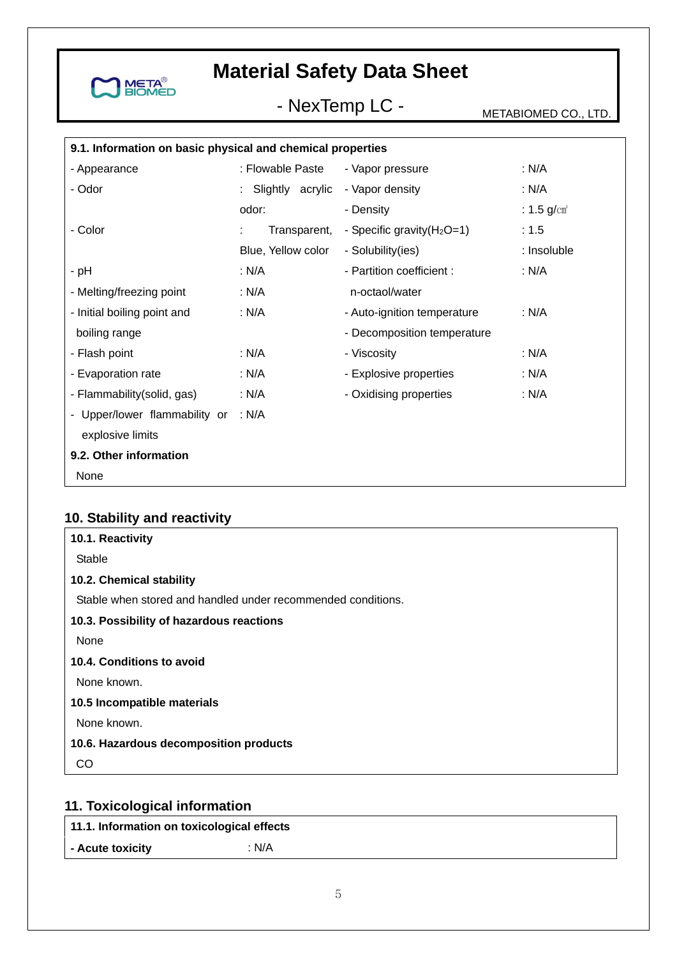

# - NexTemp LC - METABIOMED CO., LTD.

| 9.1. Information on basic physical and chemical properties |                    |                               |                        |
|------------------------------------------------------------|--------------------|-------------------------------|------------------------|
| - Appearance                                               | : Flowable Paste   | - Vapor pressure              | : N/A                  |
| - Odor                                                     | Slightly acrylic   | - Vapor density               | : N/A                  |
|                                                            | odor:              | - Density                     | : $1.5 \text{ g/cm}^3$ |
| - Color                                                    | Transparent,       | - Specific gravity $(H_2O=1)$ | : 1.5                  |
|                                                            | Blue, Yellow color | - Solubility(ies)             | : Insoluble            |
| - pH                                                       | : N/A              | - Partition coefficient :     | : N/A                  |
| - Melting/freezing point                                   | : N/A              | n-octaol/water                |                        |
| - Initial boiling point and                                | : N/A              | - Auto-ignition temperature   | : N/A                  |
| boiling range                                              |                    | - Decomposition temperature   |                        |
| - Flash point                                              | : N/A              | - Viscosity                   | : N/A                  |
| - Evaporation rate                                         | : N/A              | - Explosive properties        | : N/A                  |
| - Flammability(solid, gas)                                 | : N/A              | - Oxidising properties        | : N/A                  |
| - Upper/lower flammability or                              | : N/A              |                               |                        |
| explosive limits                                           |                    |                               |                        |
| 9.2. Other information                                     |                    |                               |                        |
| None                                                       |                    |                               |                        |

### **10. Stability and reactivity**

| 10.1. Reactivity                                             |
|--------------------------------------------------------------|
| Stable                                                       |
| 10.2. Chemical stability                                     |
| Stable when stored and handled under recommended conditions. |
| 10.3. Possibility of hazardous reactions                     |
| None                                                         |
| 10.4. Conditions to avoid                                    |
| None known.                                                  |
| 10.5 Incompatible materials                                  |
| None known.                                                  |
| 10.6. Hazardous decomposition products                       |
| CO.                                                          |
|                                                              |

## **11. Toxicological information**

**11.1. Information on toxicological effects** 

**- Acute toxicity** : N/A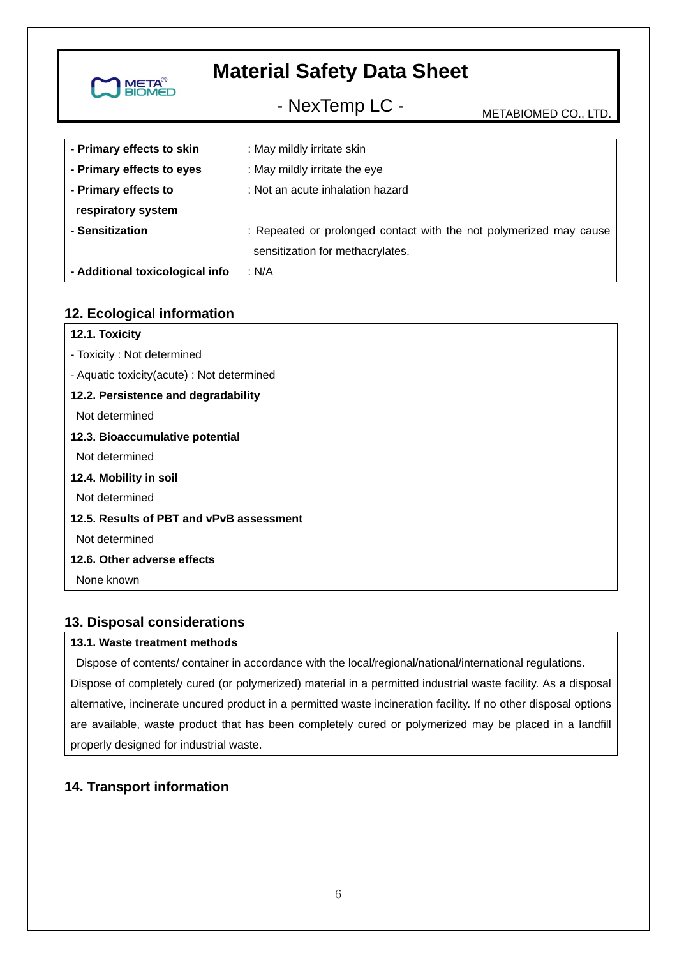| <b>META<sup>®</sup><br/>BIOMED</b> | <b>Material Safety Data Sheet</b>                                                                      |                      |  |
|------------------------------------|--------------------------------------------------------------------------------------------------------|----------------------|--|
|                                    | - NexTemp LC -                                                                                         | METABIOMED CO., LTD. |  |
| - Primary effects to skin          | : May mildly irritate skin                                                                             |                      |  |
| - Primary effects to eyes          | : May mildly irritate the eye                                                                          |                      |  |
| - Primary effects to               | : Not an acute inhalation hazard                                                                       |                      |  |
| respiratory system                 |                                                                                                        |                      |  |
| - Sensitization                    | : Repeated or prolonged contact with the not polymerized may cause<br>sensitization for methacrylates. |                      |  |
| - Additional toxicological info    | : N/A                                                                                                  |                      |  |

### **12. Ecological information**

| 12.1. Toxicity                             |
|--------------------------------------------|
| - Toxicity: Not determined                 |
| - Aquatic toxicity(acute) : Not determined |
| 12.2. Persistence and degradability        |
| Not determined                             |
| 12.3. Bioaccumulative potential            |
| Not determined                             |
| 12.4. Mobility in soil                     |
| Not determined                             |
| 12.5. Results of PBT and vPvB assessment   |
| Not determined                             |
| 12.6. Other adverse effects                |
| None known                                 |
|                                            |

### **13. Disposal considerations**

#### **13.1. Waste treatment methods**

 Dispose of contents/ container in accordance with the local/regional/national/international regulations. Dispose of completely cured (or polymerized) material in a permitted industrial waste facility. As a disposal alternative, incinerate uncured product in a permitted waste incineration facility. If no other disposal options are available, waste product that has been completely cured or polymerized may be placed in a landfill properly designed for industrial waste.

### **14. Transport information**